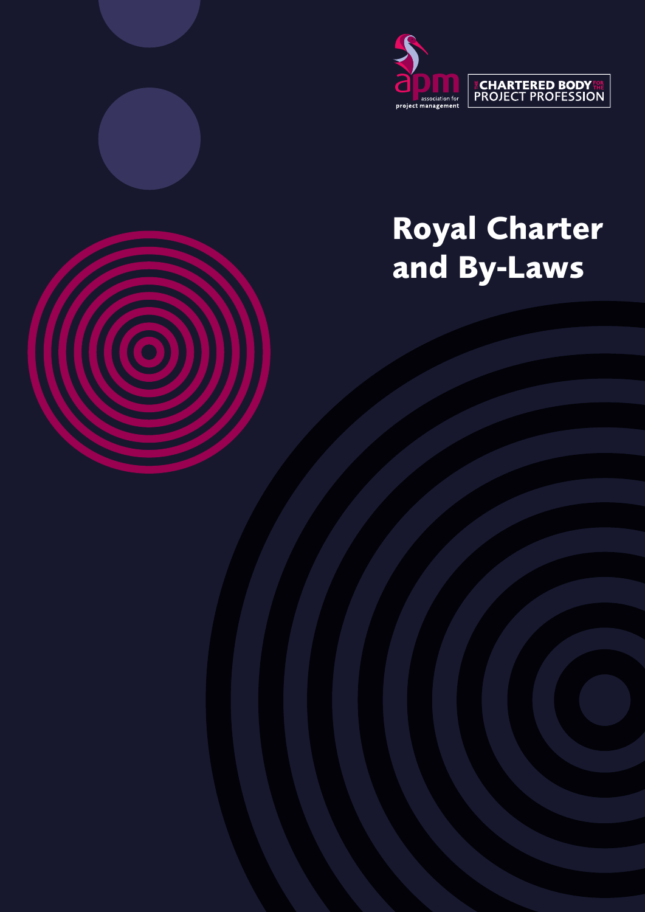

# **Royal Charter and By-Laws**

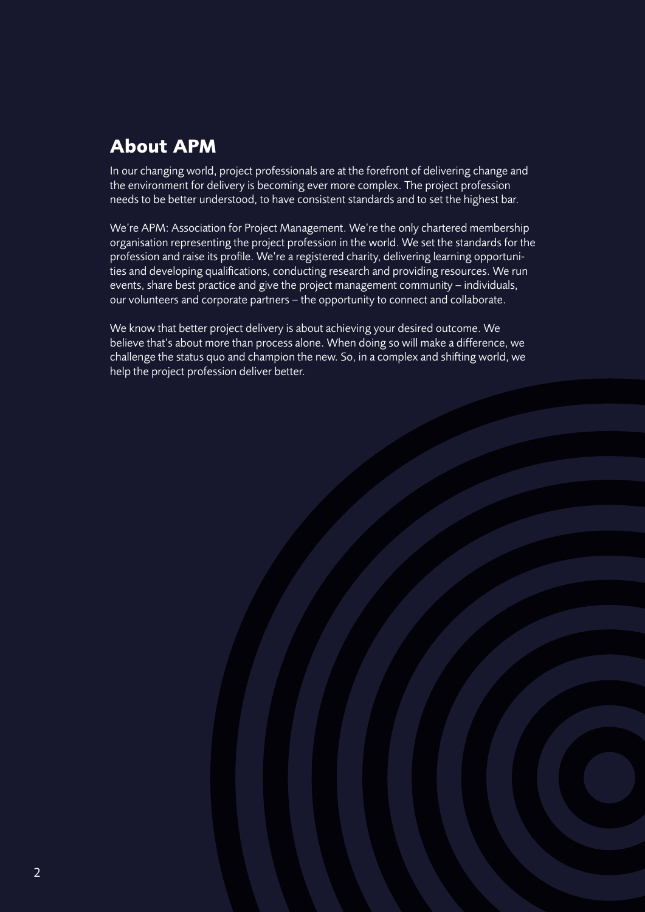# **About APM**

In our changing world, project professionals are at the forefront of delivering change and the environment for delivery is becoming ever more complex. The project profession needs to be better understood, to have consistent standards and to set the highest bar.

We're APM: Association for Project Management. We're the only chartered membership organisation representing the project profession in the world. We set the standards for the profession and raise its profile. We're a registered charity, delivering learning opportunities and developing qualifications, conducting research and providing resources. We run events, share best practice and give the project management community – individuals, our volunteers and corporate partners – the opportunity to connect and collaborate.

We know that better project delivery is about achieving your desired outcome. We believe that's about more than process alone. When doing so will make a difference, we challenge the status quo and champion the new. So, in a complex and shifting world, we help the project profession deliver better.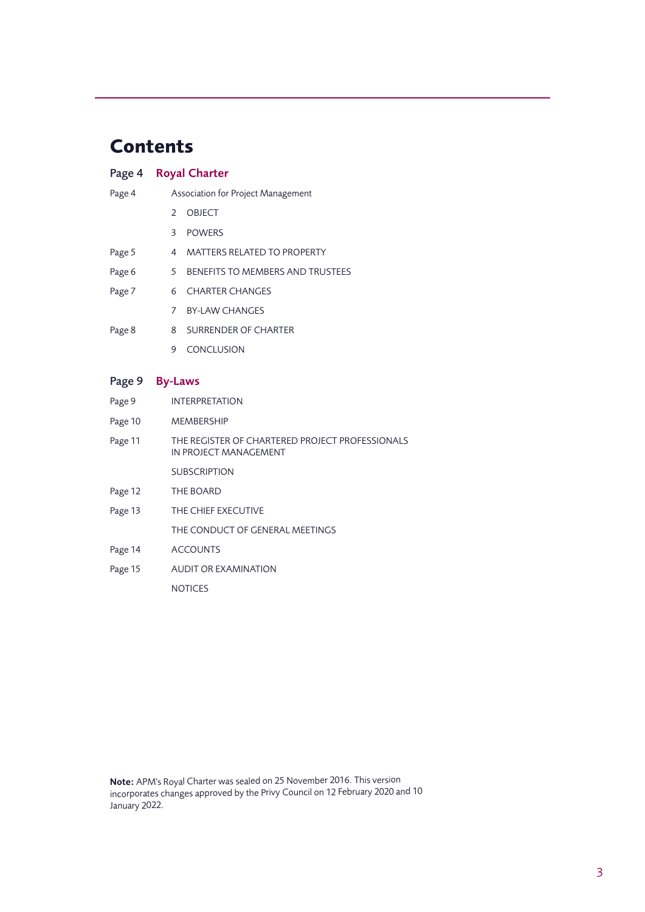## **Contents**

|                | Page 4 Royal Charter  |                                    |  |
|----------------|-----------------------|------------------------------------|--|
| Page 4         |                       | Association for Project Management |  |
|                | フ                     | <b>OBJECT</b>                      |  |
|                | 3                     | <b>POWERS</b>                      |  |
| Page 5         | 4                     | <b>MATTERS RELATED TO PROPERTY</b> |  |
| Page 6         | 5                     | BENEFITS TO MEMBERS AND TRUSTEES   |  |
| Page 7         | 6                     | <b>CHARTER CHANGES</b>             |  |
|                | 7                     | <b>BY-LAW CHANGES</b>              |  |
| Page 8         | 8                     | SURRENDER OF CHARTER               |  |
|                | 9                     | <b>CONCLUSION</b>                  |  |
|                |                       |                                    |  |
| Page 9 By-Laws |                       |                                    |  |
| Page 9         | <b>INTERPRETATION</b> |                                    |  |
| Page 10        | <b>MEMBERSHIP</b>     |                                    |  |

- Page 11 THE REGISTER OF CHARTERED PROJECT PROFESSIONALS IN PROJECT MANAGEMENT **SUBSCRIPTION**
- Page 12 THE BOARD
- Page 13 THE CHIEF EXECUTIVE
	- THE CONDUCT OF GENERAL MEETINGS
- Page 14 ACCOUNTS
- Page 15 AUDIT OR EXAMINATION

NOTICES

Note: APM's Royal Charter was sealed on 25 November 2016. This version incorporates changes approved by the Privy Council on 12 February 2020 and 10 January 2022.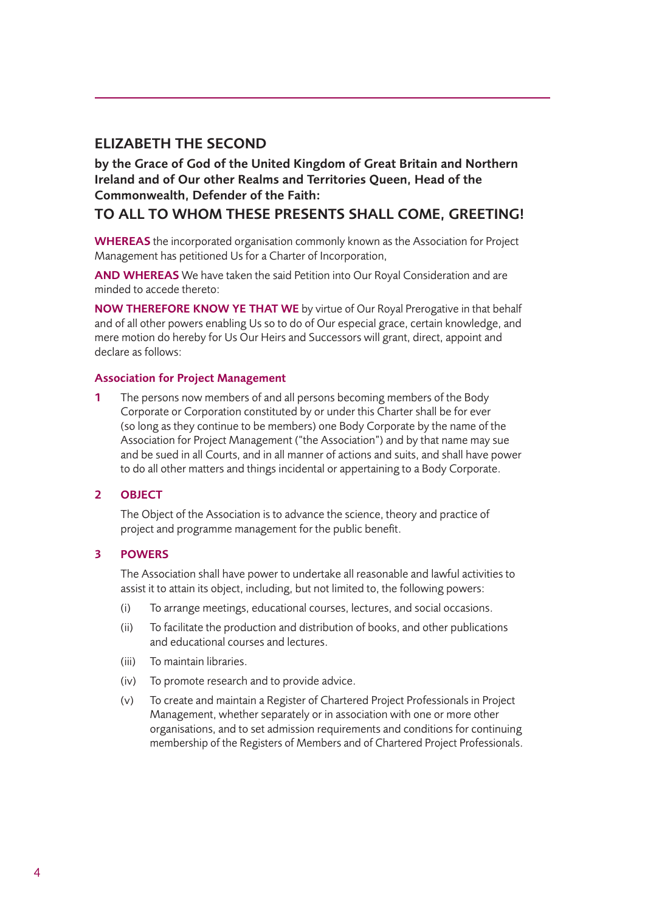## ELIZABETH THE SECOND

by the Grace of God of the United Kingdom of Great Britain and Northern Ireland and of Our other Realms and Territories Queen, Head of the Commonwealth, Defender of the Faith:

## TO ALL TO WHOM THESE PRESENTS SHALL COME, GREETING!

WHEREAS the incorporated organisation commonly known as the Association for Project Management has petitioned Us for a Charter of Incorporation,

AND WHEREAS We have taken the said Petition into Our Royal Consideration and are minded to accede thereto:

NOW THEREFORE KNOW YE THAT WE by virtue of Our Royal Prerogative in that behalf and of all other powers enabling Us so to do of Our especial grace, certain knowledge, and mere motion do hereby for Us Our Heirs and Successors will grant, direct, appoint and declare as follows:

## Association for Project Management

1 The persons now members of and all persons becoming members of the Body Corporate or Corporation constituted by or under this Charter shall be for ever (so long as they continue to be members) one Body Corporate by the name of the Association for Project Management ("the Association") and by that name may sue and be sued in all Courts, and in all manner of actions and suits, and shall have power to do all other matters and things incidental or appertaining to a Body Corporate.

## 2 OBJECT

The Object of the Association is to advance the science, theory and practice of project and programme management for the public benefit.

## 3 POWERS

The Association shall have power to undertake all reasonable and lawful activities to assist it to attain its object, including, but not limited to, the following powers:

- (i) To arrange meetings, educational courses, lectures, and social occasions.
- (ii) To facilitate the production and distribution of books, and other publications and educational courses and lectures.
- (iii) To maintain libraries.
- (iv) To promote research and to provide advice.
- (v) To create and maintain a Register of Chartered Project Professionals in Project Management, whether separately or in association with one or more other organisations, and to set admission requirements and conditions for continuing membership of the Registers of Members and of Chartered Project Professionals.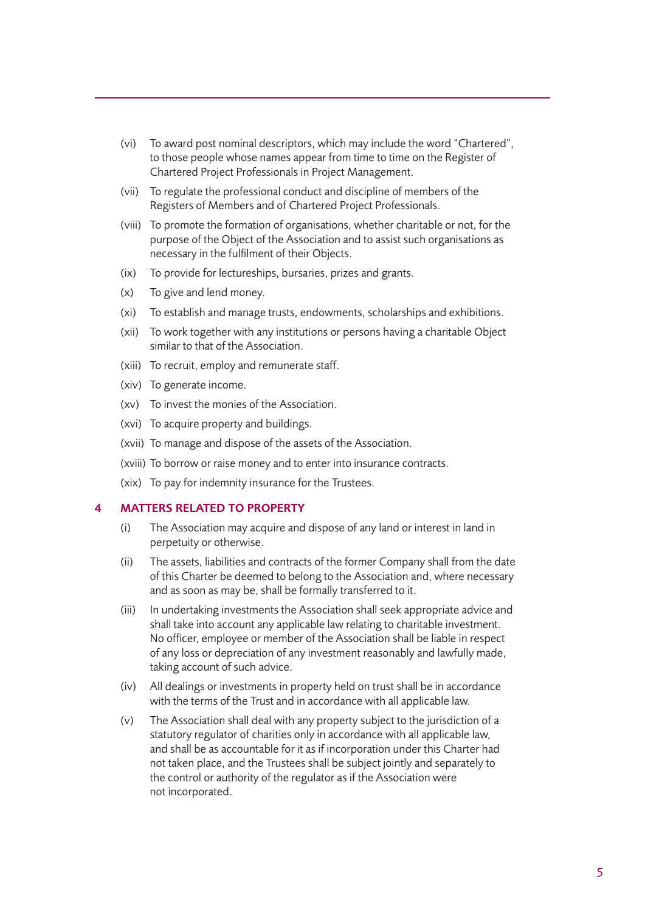- (vi) To award post nominal descriptors, which may include the word "Chartered", to those people whose names appear from time to time on the Register of Chartered Project Professionals in Project Management.
- (vii) To regulate the professional conduct and discipline of members of the Registers of Members and of Chartered Project Professionals.
- (viii) To promote the formation of organisations, whether charitable or not, for the purpose of the Object of the Association and to assist such organisations as necessary in the fulfilment of their Objects.
- (ix) To provide for lectureships, bursaries, prizes and grants.
- (x) To give and lend money.
- (xi) To establish and manage trusts, endowments, scholarships and exhibitions.
- (xii) To work together with any institutions or persons having a charitable Object similar to that of the Association.
- (xiii) To recruit, employ and remunerate staff.
- (xiv) To generate income.
- (xv) To invest the monies of the Association.
- (xvi) To acquire property and buildings.
- (xvii) To manage and dispose of the assets of the Association.
- (xviii) To borrow or raise money and to enter into insurance contracts.
- (xix) To pay for indemnity insurance for the Trustees.

## 4 MATTERS RELATED TO PROPERTY

- (i) The Association may acquire and dispose of any land or interest in land in perpetuity or otherwise.
- (ii) The assets, liabilities and contracts of the former Company shall from the date of this Charter be deemed to belong to the Association and, where necessary and as soon as may be, shall be formally transferred to it.
- (iii) In undertaking investments the Association shall seek appropriate advice and shall take into account any applicable law relating to charitable investment. No officer, employee or member of the Association shall be liable in respect of any loss or depreciation of any investment reasonably and lawfully made, taking account of such advice.
- (iv) All dealings or investments in property held on trust shall be in accordance with the terms of the Trust and in accordance with all applicable law.
- (v) The Association shall deal with any property subject to the jurisdiction of a statutory regulator of charities only in accordance with all applicable law, and shall be as accountable for it as if incorporation under this Charter had not taken place, and the Trustees shall be subject jointly and separately to the control or authority of the regulator as if the Association were not incorporated.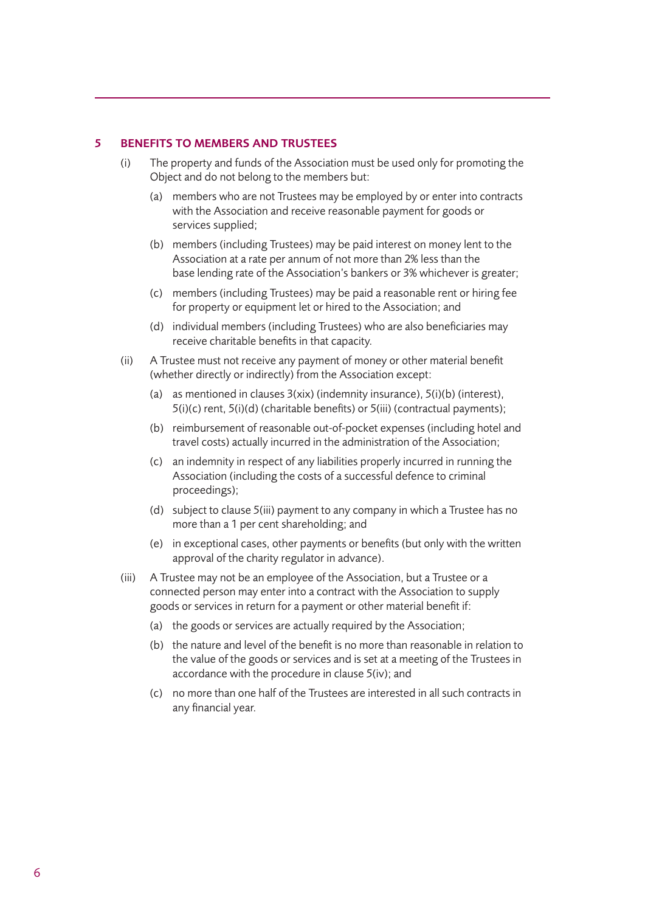#### 5 BENEFITS TO MEMBERS AND TRUSTEES

- (i) The property and funds of the Association must be used only for promoting the Object and do not belong to the members but:
	- (a) members who are not Trustees may be employed by or enter into contracts with the Association and receive reasonable payment for goods or services supplied;
	- (b) members (including Trustees) may be paid interest on money lent to the Association at a rate per annum of not more than 2% less than the base lending rate of the Association's bankers or 3% whichever is greater;
	- (c) members (including Trustees) may be paid a reasonable rent or hiring fee for property or equipment let or hired to the Association; and
	- (d) individual members (including Trustees) who are also beneficiaries may receive charitable benefits in that capacity.
- (ii) A Trustee must not receive any payment of money or other material benefit (whether directly or indirectly) from the Association except:
	- (a) as mentioned in clauses 3(xix) (indemnity insurance), 5(i)(b) (interest), 5(i)(c) rent, 5(i)(d) (charitable benefits) or 5(iii) (contractual payments);
	- (b) reimbursement of reasonable out-of-pocket expenses (including hotel and travel costs) actually incurred in the administration of the Association;
	- (c) an indemnity in respect of any liabilities properly incurred in running the Association (including the costs of a successful defence to criminal proceedings);
	- (d) subject to clause 5(iii) payment to any company in which a Trustee has no more than a 1 per cent shareholding; and
	- (e) in exceptional cases, other payments or benefits (but only with the written approval of the charity regulator in advance).
- (iii) A Trustee may not be an employee of the Association, but a Trustee or a connected person may enter into a contract with the Association to supply goods or services in return for a payment or other material benefit if:
	- (a) the goods or services are actually required by the Association;
	- (b) the nature and level of the benefit is no more than reasonable in relation to the value of the goods or services and is set at a meeting of the Trustees in accordance with the procedure in clause 5(iv); and
	- (c) no more than one half of the Trustees are interested in all such contracts in any financial year.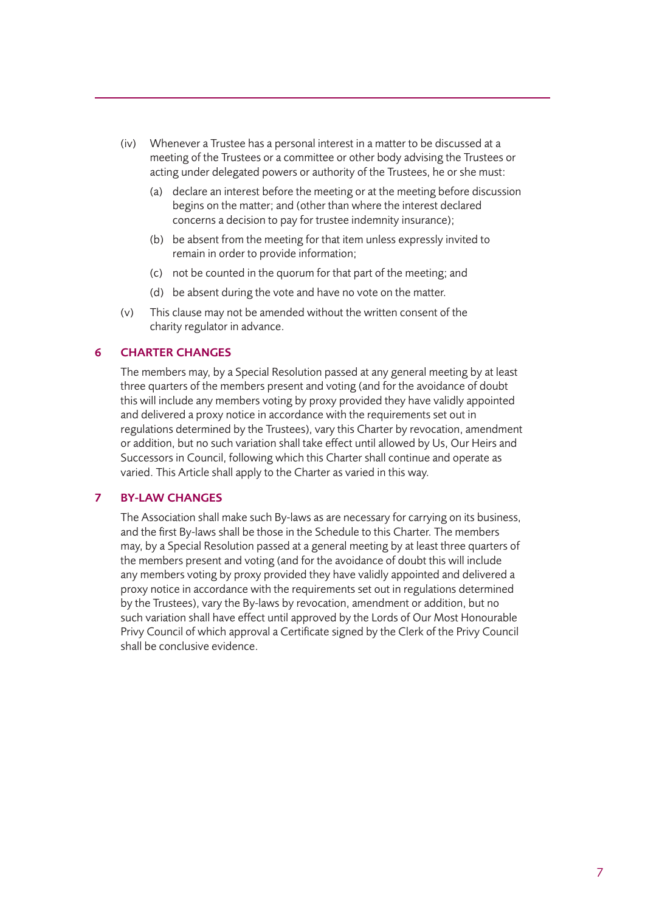- (iv) Whenever a Trustee has a personal interest in a matter to be discussed at a meeting of the Trustees or a committee or other body advising the Trustees or acting under delegated powers or authority of the Trustees, he or she must:
	- (a) declare an interest before the meeting or at the meeting before discussion begins on the matter; and (other than where the interest declared concerns a decision to pay for trustee indemnity insurance);
	- (b) be absent from the meeting for that item unless expressly invited to remain in order to provide information;
	- (c) not be counted in the quorum for that part of the meeting; and
	- (d) be absent during the vote and have no vote on the matter.
- (v) This clause may not be amended without the written consent of the charity regulator in advance.

## 6 CHARTER CHANGES

The members may, by a Special Resolution passed at any general meeting by at least three quarters of the members present and voting (and for the avoidance of doubt this will include any members voting by proxy provided they have validly appointed and delivered a proxy notice in accordance with the requirements set out in regulations determined by the Trustees), vary this Charter by revocation, amendment or addition, but no such variation shall take effect until allowed by Us, Our Heirs and Successors in Council, following which this Charter shall continue and operate as varied. This Article shall apply to the Charter as varied in this way.

## 7 BY-LAW CHANGES

The Association shall make such By-laws as are necessary for carrying on its business, and the first By-laws shall be those in the Schedule to this Charter. The members may, by a Special Resolution passed at a general meeting by at least three quarters of the members present and voting (and for the avoidance of doubt this will include any members voting by proxy provided they have validly appointed and delivered a proxy notice in accordance with the requirements set out in regulations determined by the Trustees), vary the By-laws by revocation, amendment or addition, but no such variation shall have effect until approved by the Lords of Our Most Honourable Privy Council of which approval a Certificate signed by the Clerk of the Privy Council shall be conclusive evidence.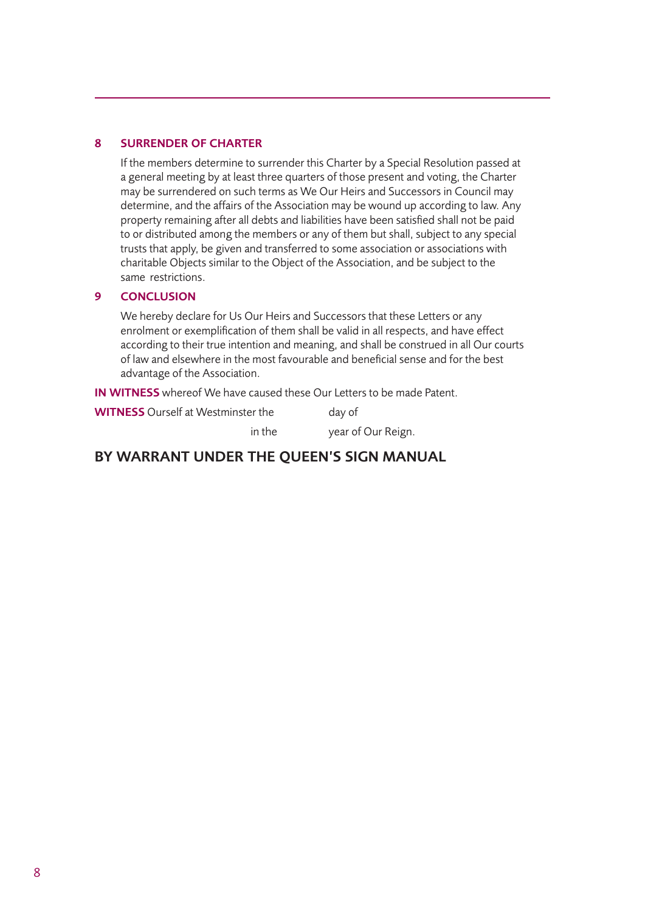## 8 SURRENDER OF CHARTER

If the members determine to surrender this Charter by a Special Resolution passed at a general meeting by at least three quarters of those present and voting, the Charter may be surrendered on such terms as We Our Heirs and Successors in Council may determine, and the affairs of the Association may be wound up according to law. Any property remaining after all debts and liabilities have been satisfied shall not be paid to or distributed among the members or any of them but shall, subject to any special trusts that apply, be given and transferred to some association or associations with charitable Objects similar to the Object of the Association, and be subject to the same restrictions.

#### 9 CONCLUSION

We hereby declare for Us Our Heirs and Successors that these Letters or any enrolment or exemplification of them shall be valid in all respects, and have effect according to their true intention and meaning, and shall be construed in all Our courts of law and elsewhere in the most favourable and beneficial sense and for the best advantage of the Association.

IN WITNESS whereof We have caused these Our Letters to be made Patent.

WITNESS Ourself at Westminster the day of

in the year of Our Reign.

## BY WARRANT UNDER THE QUEEN'S SIGN MANUAL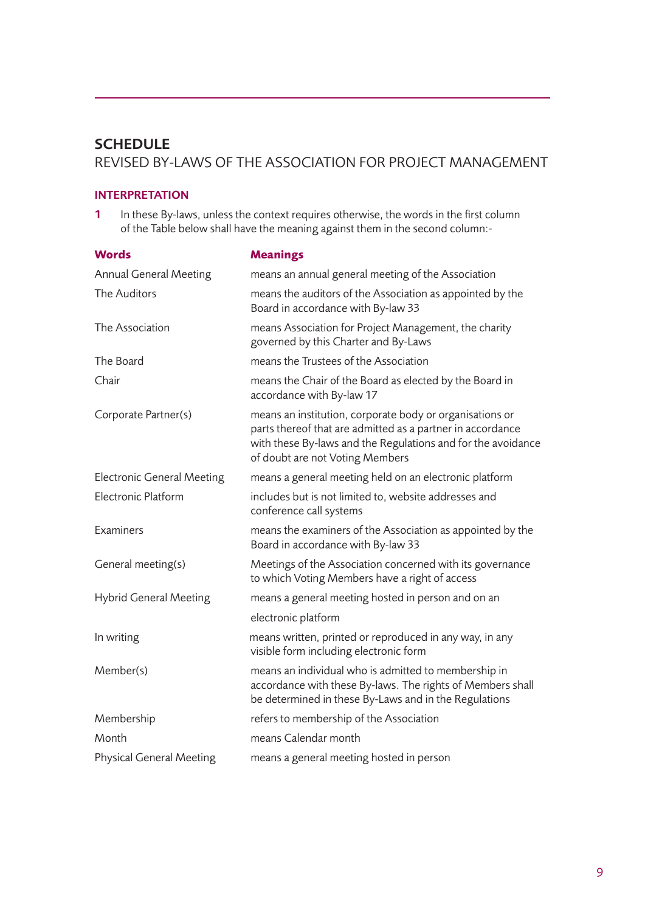## **SCHEDULE** REVISED BY-LAWS OF THE ASSOCIATION FOR PROJECT MANAGEMENT

## INTERPRETATION

1 In these By-laws, unless the context requires otherwise, the words in the first column of the Table below shall have the meaning against them in the second column:-

| <b>Words</b>                      | <b>Meanings</b>                                                                                                                                                                                                           |  |  |
|-----------------------------------|---------------------------------------------------------------------------------------------------------------------------------------------------------------------------------------------------------------------------|--|--|
| <b>Annual General Meeting</b>     | means an annual general meeting of the Association                                                                                                                                                                        |  |  |
| The Auditors                      | means the auditors of the Association as appointed by the<br>Board in accordance with By-law 33                                                                                                                           |  |  |
| The Association                   | means Association for Project Management, the charity<br>governed by this Charter and By-Laws                                                                                                                             |  |  |
| The Board                         | means the Trustees of the Association                                                                                                                                                                                     |  |  |
| Chair                             | means the Chair of the Board as elected by the Board in<br>accordance with By-law 17                                                                                                                                      |  |  |
| Corporate Partner(s)              | means an institution, corporate body or organisations or<br>parts thereof that are admitted as a partner in accordance<br>with these By-laws and the Regulations and for the avoidance<br>of doubt are not Voting Members |  |  |
| <b>Electronic General Meeting</b> | means a general meeting held on an electronic platform                                                                                                                                                                    |  |  |
| Electronic Platform               | includes but is not limited to, website addresses and<br>conference call systems                                                                                                                                          |  |  |
| Examiners                         | means the examiners of the Association as appointed by the<br>Board in accordance with By-law 33                                                                                                                          |  |  |
| General meeting(s)                | Meetings of the Association concerned with its governance<br>to which Voting Members have a right of access                                                                                                               |  |  |
| <b>Hybrid General Meeting</b>     | means a general meeting hosted in person and on an                                                                                                                                                                        |  |  |
|                                   | electronic platform                                                                                                                                                                                                       |  |  |
| In writing                        | means written, printed or reproduced in any way, in any<br>visible form including electronic form                                                                                                                         |  |  |
| Member(s)                         | means an individual who is admitted to membership in<br>accordance with these By-laws. The rights of Members shall<br>be determined in these By-Laws and in the Regulations                                               |  |  |
| Membership                        | refers to membership of the Association                                                                                                                                                                                   |  |  |
| Month                             | means Calendar month                                                                                                                                                                                                      |  |  |
| <b>Physical General Meeting</b>   | means a general meeting hosted in person                                                                                                                                                                                  |  |  |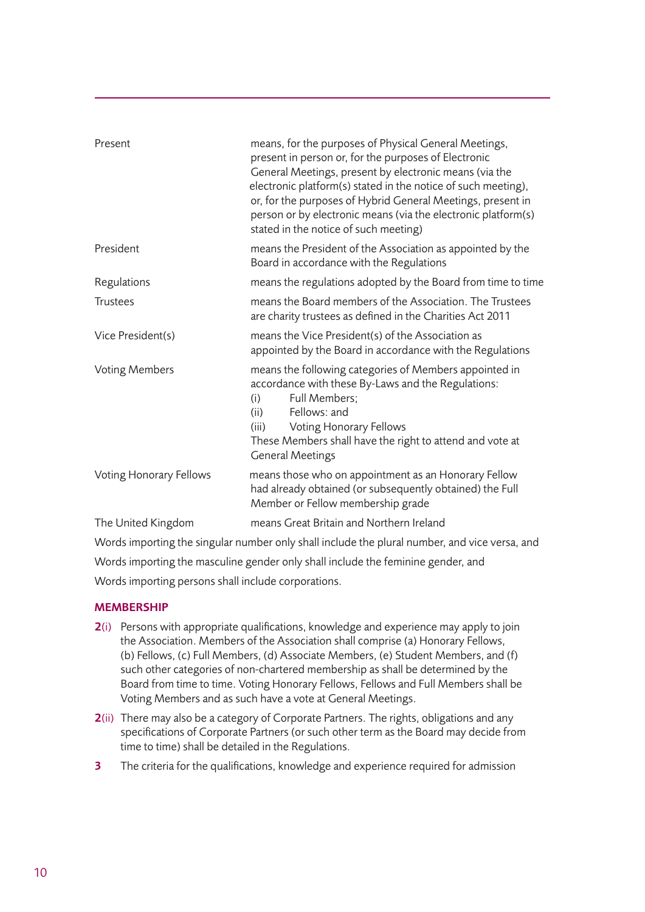| Present                 | means, for the purposes of Physical General Meetings,<br>present in person or, for the purposes of Electronic<br>General Meetings, present by electronic means (via the<br>electronic platform(s) stated in the notice of such meeting),<br>or, for the purposes of Hybrid General Meetings, present in<br>person or by electronic means (via the electronic platform(s)<br>stated in the notice of such meeting) |  |  |
|-------------------------|-------------------------------------------------------------------------------------------------------------------------------------------------------------------------------------------------------------------------------------------------------------------------------------------------------------------------------------------------------------------------------------------------------------------|--|--|
| President               | means the President of the Association as appointed by the<br>Board in accordance with the Regulations                                                                                                                                                                                                                                                                                                            |  |  |
| Regulations             | means the regulations adopted by the Board from time to time                                                                                                                                                                                                                                                                                                                                                      |  |  |
| <b>Trustees</b>         | means the Board members of the Association. The Trustees<br>are charity trustees as defined in the Charities Act 2011                                                                                                                                                                                                                                                                                             |  |  |
| Vice President(s)       | means the Vice President(s) of the Association as<br>appointed by the Board in accordance with the Regulations                                                                                                                                                                                                                                                                                                    |  |  |
| <b>Voting Members</b>   | means the following categories of Members appointed in<br>accordance with these By-Laws and the Regulations:<br>Full Members;<br>(i)<br>Fellows: and<br>(ii)<br>Voting Honorary Fellows<br>(iii)<br>These Members shall have the right to attend and vote at<br><b>General Meetings</b>                                                                                                                           |  |  |
| Voting Honorary Fellows | means those who on appointment as an Honorary Fellow<br>had already obtained (or subsequently obtained) the Full<br>Member or Fellow membership grade                                                                                                                                                                                                                                                             |  |  |
| The United Kingdom      | means Great Britain and Northern Ireland                                                                                                                                                                                                                                                                                                                                                                          |  |  |
|                         | Words importing the singular number only shall include the plural number, and vice versa, and                                                                                                                                                                                                                                                                                                                     |  |  |

Words importing the singular number only shall include the plural number, and vice versa, and Words importing the masculine gender only shall include the feminine gender, and Words importing persons shall include corporations.

## **MEMBERSHIP**

- 2(i) Persons with appropriate qualifications, knowledge and experience may apply to join the Association. Members of the Association shall comprise (a) Honorary Fellows, (b) Fellows, (c) Full Members, (d) Associate Members, (e) Student Members, and (f) such other categories of non-chartered membership as shall be determined by the Board from time to time. Voting Honorary Fellows, Fellows and Full Members shall be Voting Members and as such have a vote at General Meetings.
- 2(ii) There may also be a category of Corporate Partners. The rights, obligations and any specifications of Corporate Partners (or such other term as the Board may decide from time to time) shall be detailed in the Regulations.
- **3** The criteria for the qualifications, knowledge and experience required for admission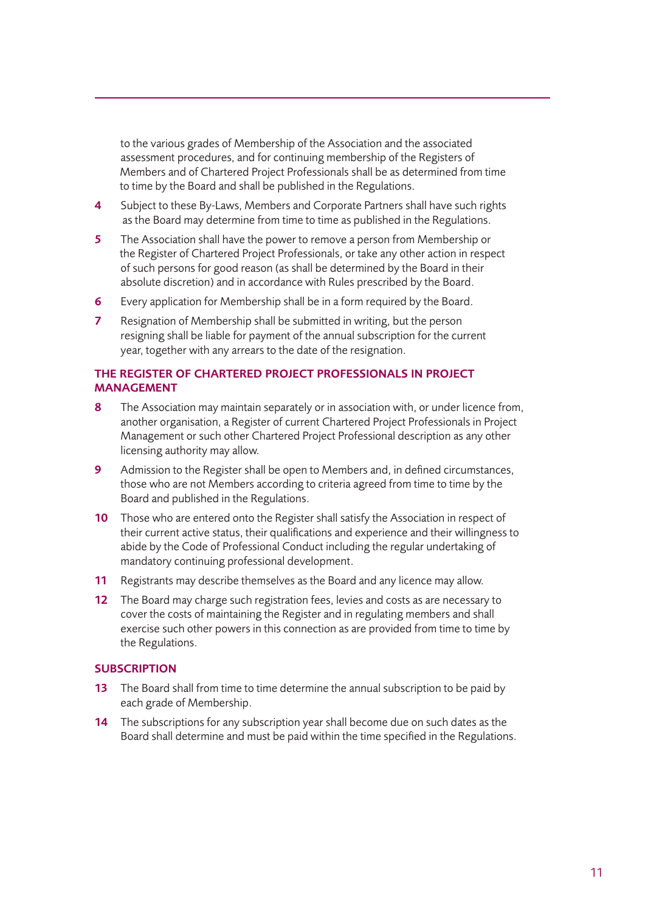to the various grades of Membership of the Association and the associated assessment procedures, and for continuing membership of the Registers of Members and of Chartered Project Professionals shall be as determined from time to time by the Board and shall be published in the Regulations.

- 4 Subject to these By-Laws, Members and Corporate Partners shall have such rights as the Board may determine from time to time as published in the Regulations.
- 5 The Association shall have the power to remove a person from Membership or the Register of Chartered Project Professionals, or take any other action in respect of such persons for good reason (as shall be determined by the Board in their absolute discretion) and in accordance with Rules prescribed by the Board.
- 6 Every application for Membership shall be in a form required by the Board.
- **7** Resignation of Membership shall be submitted in writing, but the person resigning shall be liable for payment of the annual subscription for the current year, together with any arrears to the date of the resignation.

## THE REGISTER OF CHARTERED PROJECT PROFESSIONALS IN PROJECT MANAGEMENT

- 8 The Association may maintain separately or in association with, or under licence from, another organisation, a Register of current Chartered Project Professionals in Project Management or such other Chartered Project Professional description as any other licensing authority may allow.
- 9 Admission to the Register shall be open to Members and, in defined circumstances, those who are not Members according to criteria agreed from time to time by the Board and published in the Regulations.
- 10 Those who are entered onto the Register shall satisfy the Association in respect of their current active status, their qualifications and experience and their willingness to abide by the Code of Professional Conduct including the regular undertaking of mandatory continuing professional development.
- 11 Registrants may describe themselves as the Board and any licence may allow.
- 12 The Board may charge such registration fees, levies and costs as are necessary to cover the costs of maintaining the Register and in regulating members and shall exercise such other powers in this connection as are provided from time to time by the Regulations.

## **SUBSCRIPTION**

- 13 The Board shall from time to time determine the annual subscription to be paid by each grade of Membership.
- 14 The subscriptions for any subscription year shall become due on such dates as the Board shall determine and must be paid within the time specified in the Regulations.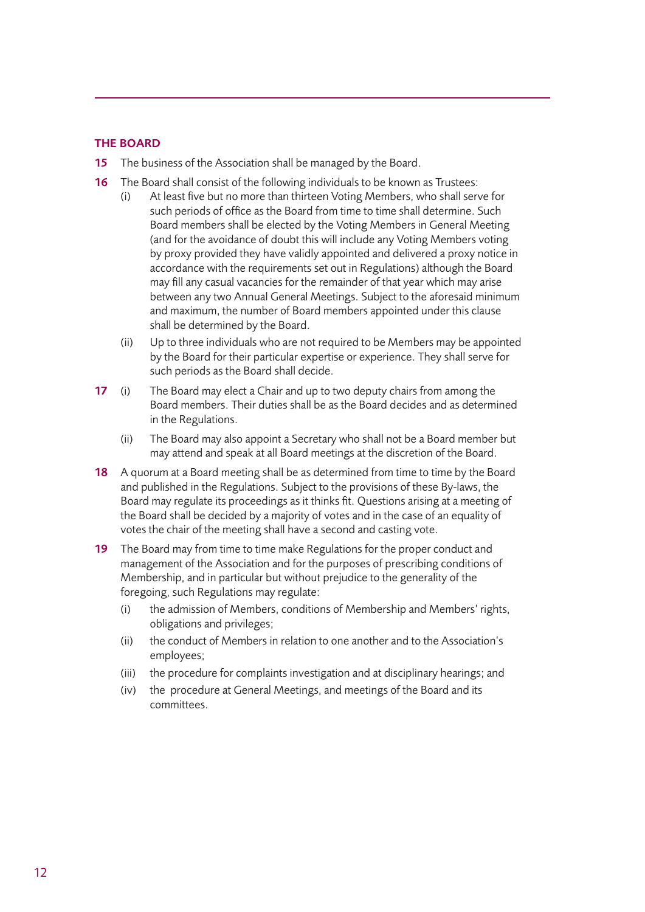## THE BOARD

- 15 The business of the Association shall be managed by the Board.
- 16 The Board shall consist of the following individuals to be known as Trustees:
	- (i) At least five but no more than thirteen Voting Members, who shall serve for such periods of office as the Board from time to time shall determine. Such Board members shall be elected by the Voting Members in General Meeting (and for the avoidance of doubt this will include any Voting Members voting by proxy provided they have validly appointed and delivered a proxy notice in accordance with the requirements set out in Regulations) although the Board may fill any casual vacancies for the remainder of that year which may arise between any two Annual General Meetings. Subject to the aforesaid minimum and maximum, the number of Board members appointed under this clause shall be determined by the Board.
	- (ii) Up to three individuals who are not required to be Members may be appointed by the Board for their particular expertise or experience. They shall serve for such periods as the Board shall decide.
- 17 (i) The Board may elect a Chair and up to two deputy chairs from among the Board members. Their duties shall be as the Board decides and as determined in the Regulations.
	- (ii) The Board may also appoint a Secretary who shall not be a Board member but may attend and speak at all Board meetings at the discretion of the Board.
- 18 A quorum at a Board meeting shall be as determined from time to time by the Board and published in the Regulations. Subject to the provisions of these By-laws, the Board may regulate its proceedings as it thinks fit. Questions arising at a meeting of the Board shall be decided by a majority of votes and in the case of an equality of votes the chair of the meeting shall have a second and casting vote.
- 19 The Board may from time to time make Regulations for the proper conduct and management of the Association and for the purposes of prescribing conditions of Membership, and in particular but without prejudice to the generality of the foregoing, such Regulations may regulate:
	- (i) the admission of Members, conditions of Membership and Members' rights, obligations and privileges;
	- (ii) the conduct of Members in relation to one another and to the Association's employees;
	- (iii) the procedure for complaints investigation and at disciplinary hearings; and
	- (iv) the procedure at General Meetings, and meetings of the Board and its committees.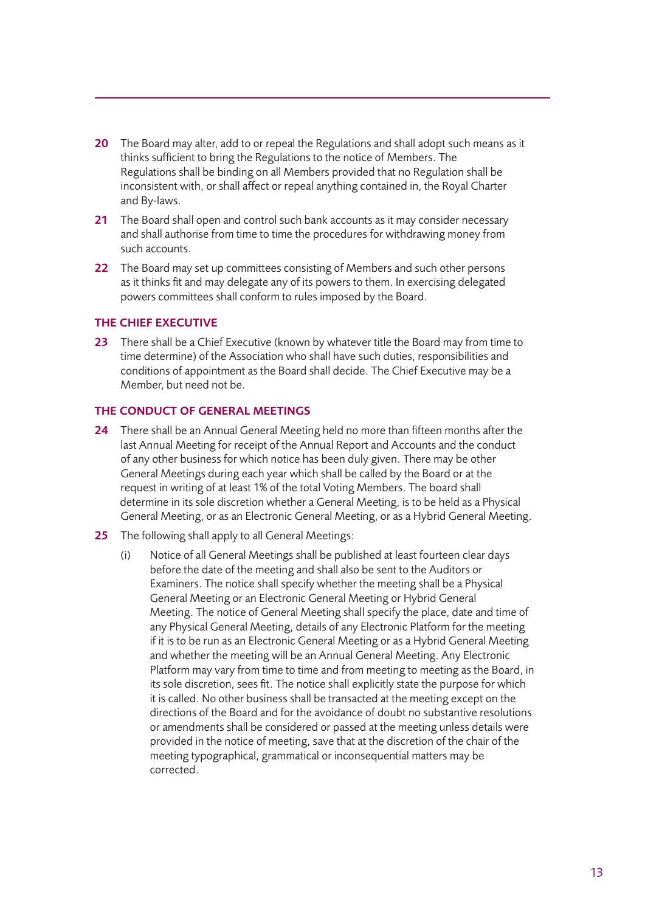- 20 The Board may alter, add to or repeal the Regulations and shall adopt such means as it thinks sufficient to bring the Regulations to the notice of Members. The Regulations shall be binding on all Members provided that no Regulation shall be inconsistent with, or shall affect or repeal anything contained in, the Royal Charter and By-laws.
- 21 The Board shall open and control such bank accounts as it may consider necessary and shall authorise from time to time the procedures for withdrawing money from such accounts.
- 22 The Board may set up committees consisting of Members and such other persons as it thinks fit and may delegate any of its powers to them. In exercising delegated powers committees shall conform to rules imposed by the Board.

## THE CHIEF EXECUTIVE

23 There shall be a Chief Executive (known by whatever title the Board may from time to time determine) of the Association who shall have such duties, responsibilities and conditions of appointment as the Board shall decide. The Chief Executive may be a Member, but need not be.

## THE CONDUCT OF GENERAL MEETINGS

- 24 There shall be an Annual General Meeting held no more than fifteen months after the last Annual Meeting for receipt of the Annual Report and Accounts and the conduct of any other business for which notice has been duly given. There may be other General Meetings during each year which shall be called by the Board or at the request in writing of at least 1% of the total Voting Members. The board shall determine in its sole discretion whether a General Meeting, is to be held as a Physical General Meeting, or as an Electronic General Meeting, or as a Hybrid General Meeting.
- 25 The following shall apply to all General Meetings:
	- (i) Notice of all General Meetings shall be published at least fourteen clear days before the date of the meeting and shall also be sent to the Auditors or Examiners. The notice shall specify whether the meeting shall be a Physical General Meeting or an Electronic General Meeting or Hybrid General Meeting. The notice of General Meeting shall specify the place, date and time of any Physical General Meeting, details of any Electronic Platform for the meeting if it is to be run as an Electronic General Meeting or as a Hybrid General Meeting and whether the meeting will be an Annual General Meeting. Any Electronic Platform may vary from time to time and from meeting to meeting as the Board, in its sole discretion, sees fit. The notice shall explicitly state the purpose for which it is called. No other business shall be transacted at the meeting except on the directions of the Board and for the avoidance of doubt no substantive resolutions or amendments shall be considered or passed at the meeting unless details were provided in the notice of meeting, save that at the discretion of the chair of the meeting typographical, grammatical or inconsequential matters may be corrected.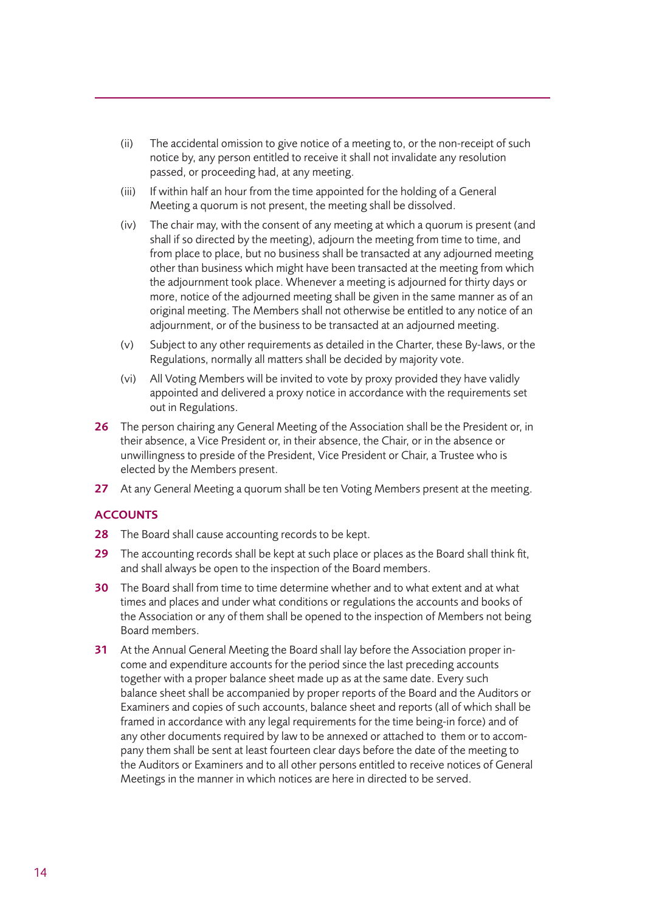- (ii) The accidental omission to give notice of a meeting to, or the non-receipt of such notice by, any person entitled to receive it shall not invalidate any resolution passed, or proceeding had, at any meeting.
- (iii) If within half an hour from the time appointed for the holding of a General Meeting a quorum is not present, the meeting shall be dissolved.
- (iv) The chair may, with the consent of any meeting at which a quorum is present (and shall if so directed by the meeting), adjourn the meeting from time to time, and from place to place, but no business shall be transacted at any adjourned meeting other than business which might have been transacted at the meeting from which the adjournment took place. Whenever a meeting is adjourned for thirty days or more, notice of the adjourned meeting shall be given in the same manner as of an original meeting. The Members shall not otherwise be entitled to any notice of an adjournment, or of the business to be transacted at an adjourned meeting.
- (v) Subject to any other requirements as detailed in the Charter, these By-laws, or the Regulations, normally all matters shall be decided by majority vote.
- (vi) All Voting Members will be invited to vote by proxy provided they have validly appointed and delivered a proxy notice in accordance with the requirements set out in Regulations.
- 26 The person chairing any General Meeting of the Association shall be the President or, in their absence, a Vice President or, in their absence, the Chair, or in the absence or unwillingness to preside of the President, Vice President or Chair, a Trustee who is elected by the Members present.
- 27 At any General Meeting a quorum shall be ten Voting Members present at the meeting.

## **ACCOUNTS**

- 28 The Board shall cause accounting records to be kept.
- 29 The accounting records shall be kept at such place or places as the Board shall think fit, and shall always be open to the inspection of the Board members.
- 30 The Board shall from time to time determine whether and to what extent and at what times and places and under what conditions or regulations the accounts and books of the Association or any of them shall be opened to the inspection of Members not being Board members.
- 31 At the Annual General Meeting the Board shall lay before the Association proper income and expenditure accounts for the period since the last preceding accounts together with a proper balance sheet made up as at the same date. Every such balance sheet shall be accompanied by proper reports of the Board and the Auditors or Examiners and copies of such accounts, balance sheet and reports (all of which shall be framed in accordance with any legal requirements for the time being-in force) and of any other documents required by law to be annexed or attached to them or to accompany them shall be sent at least fourteen clear days before the date of the meeting to the Auditors or Examiners and to all other persons entitled to receive notices of General Meetings in the manner in which notices are here in directed to be served.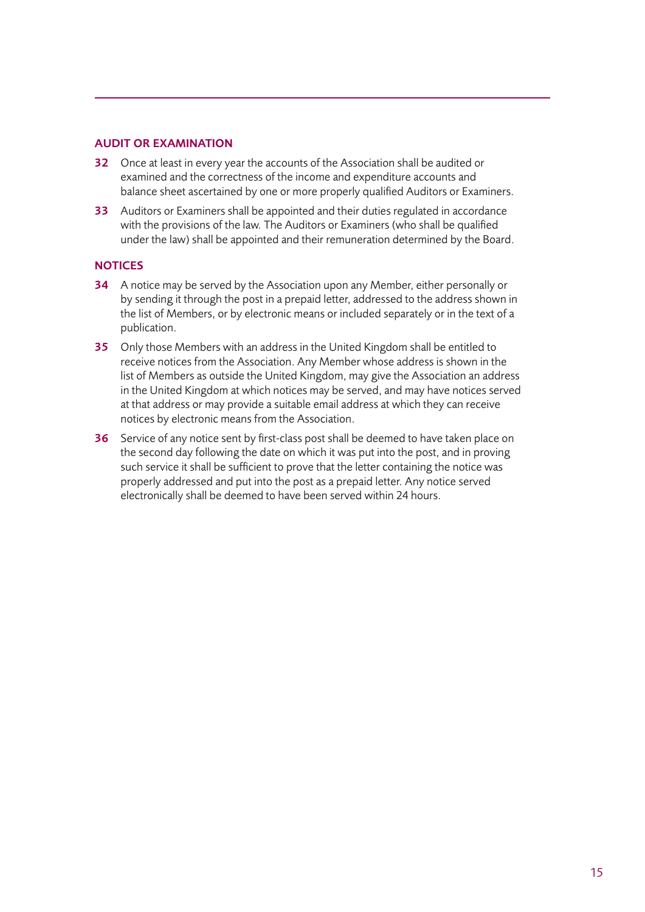## AUDIT OR EXAMINATION

- 32 Once at least in every year the accounts of the Association shall be audited or examined and the correctness of the income and expenditure accounts and balance sheet ascertained by one or more properly qualified Auditors or Examiners.
- 33 Auditors or Examiners shall be appointed and their duties regulated in accordance with the provisions of the law. The Auditors or Examiners (who shall be qualified under the law) shall be appointed and their remuneration determined by the Board.

## **NOTICES**

- 34 A notice may be served by the Association upon any Member, either personally or by sending it through the post in a prepaid letter, addressed to the address shown in the list of Members, or by electronic means or included separately or in the text of a publication.
- 35 Only those Members with an address in the United Kingdom shall be entitled to receive notices from the Association. Any Member whose address is shown in the list of Members as outside the United Kingdom, may give the Association an address in the United Kingdom at which notices may be served, and may have notices served at that address or may provide a suitable email address at which they can receive notices by electronic means from the Association.
- **36** Service of any notice sent by first-class post shall be deemed to have taken place on the second day following the date on which it was put into the post, and in proving such service it shall be sufficient to prove that the letter containing the notice was properly addressed and put into the post as a prepaid letter. Any notice served electronically shall be deemed to have been served within 24 hours.